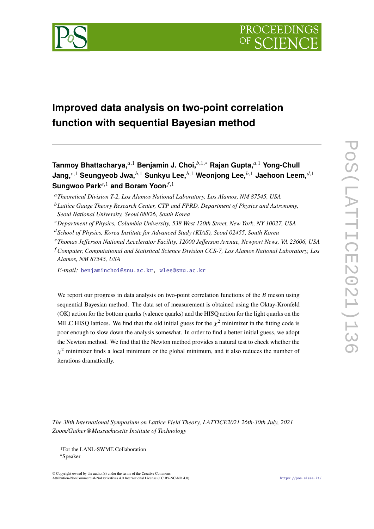



# **Improved data analysis on two-point correlation function with sequential Bayesian method**

Tanmoy Bhattacharya,<sup>*a*,1</sup> Benjamin J. Choi,<sup>*b*,1,∗</sup> Rajan Gupta,<sup>*a*,1</sup> Yong-Chull **Jang,**<sup>c,1</sup> Seungyeob Jwa,<sup>b,1</sup> Sunkyu Lee,<sup>b,1</sup> Weonjong Lee,<sup>b,1</sup> Jaehoon Leem,<sup>d,1</sup> **Sungwoo Park**<sup>e,1</sup> and Boram Yoon<sup>*f*,1</sup>

- *Department of Physics, Columbia University, 538 West 120th Street, New York, NY 10027, USA*
- *School of Physics, Korea Institute for Advanced Study (KIAS), Seoul 02455, South Korea*
- *Thomas Jefferson National Accelerator Facility, 12000 Jefferson Avenue, Newport News, VA 23606, USA*
- *Computer, Computational and Statistical Science Division CCS-7, Los Alamos National Laboratory, Los Alamos, NM 87545, USA*

*E-mail:* [benjaminchoi@snu.ac.kr,](mailto:benjaminchoi@snu.ac.kr) [wlee@snu.ac.kr](mailto:wlee@snu.ac.kr)

We report our progress in data analysis on two-point correlation functions of the  $B$  meson using sequential Bayesian method. The data set of measurement is obtained using the Oktay-Kronfeld (OK) action for the bottom quarks (valence quarks) and the HISQ action for the light quarks on the MILC HISQ lattices. We find that the old initial guess for the  $\chi^2$  minimizer in the fitting code is poor enough to slow down the analysis somewhat. In order to find a better initial guess, we adopt the Newton method. We find that the Newton method provides a natural test to check whether the  $\chi^2$  minimizer finds a local minimum or the global minimum, and it also reduces the number of iterations dramatically.

*The 38th International Symposium on Lattice Field Theory, LATTICE2021 26th-30th July, 2021 Zoom/Gather@Massachusetts Institute of Technology*

© Copyright owned by the author(s) under the terms of the Creative Commons Attribution-NonCommercial-NoDerivatives 4.0 International License (CC BY-NC-ND 4.0). <https://pos.sissa.it/>

*Theoretical Division T-2, Los Alamos National Laboratory, Los Alamos, NM 87545, USA*

*Lattice Gauge Theory Research Center, CTP and FPRD, Department of Physics and Astronomy, Seoul National University, Seoul 08826, South Korea*

<sup>1</sup>For the LANL-SWME Collaboration

<sup>∗</sup>Speaker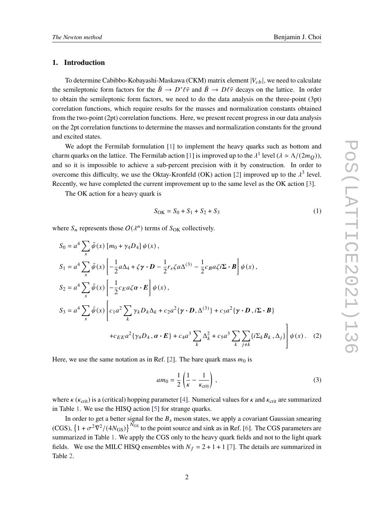## **1. Introduction**

To determine Cabibbo-Kobayashi-Maskawa (CKM) matrix element  $|V_{ch}|$ , we need to calculate the semileptonic form factors for the  $\bar{B} \to D^* \ell \bar{\nu}$  and  $\bar{B} \to D \ell \bar{\nu}$  decays on the lattice. In order to obtain the semileptonic form factors, we need to do the data analysis on the three-point (3pt) correlation functions, which require results for the masses and normalization constants obtained from the two-point (2pt) correlation functions. Here, we present recent progress in our data analysis on the 2pt correlation functions to determine the masses and normalization constants for the ground and excited states.

We adopt the Fermilab formulation [\[1\]](#page-8-0) to implement the heavy quarks such as bottom and charm quarks on the lattice. The Fermilab action [\[1\]](#page-8-0) is improved up to the  $\lambda^1$  level  $(\lambda \simeq \Lambda/(2m_Q))$ , and so it is impossible to achieve a sub-percent precision with it by construction. In order to overcome this difficulty, we use the Oktay-Kronfeld (OK) action [\[2\]](#page-8-1) improved up to the  $\lambda^3$  level. Recently, we have completed the current improvement up to the same level as the OK action [\[3\]](#page-8-2).

The OK action for a heavy quark is

$$
S_{\rm OK} = S_0 + S_1 + S_2 + S_3 \tag{1}
$$

where  $S_n$  represents those  $O(\lambda^n)$  terms of  $S_{\text{OK}}$  collectively.

$$
S_0 = a^4 \sum_x \bar{\psi}(x) [m_0 + \gamma_4 D_4] \psi(x),
$$
  
\n
$$
S_1 = a^4 \sum_x \bar{\psi}(x) \left[ -\frac{1}{2} a \Delta_4 + \zeta \gamma \cdot D - \frac{1}{2} r_s \zeta a \Delta^{(3)} - \frac{1}{2} c_B a \zeta i \Sigma \cdot B \right] \psi(x),
$$
  
\n
$$
S_2 = a^4 \sum_x \bar{\psi}(x) \left[ -\frac{1}{2} c_E a \zeta \alpha \cdot E \right] \psi(x),
$$
  
\n
$$
S_3 = a^4 \sum_x \bar{\psi}(x) \left[ c_1 a^2 \sum_k \gamma_k D_k \Delta_k + c_2 a^2 \{ \gamma \cdot D, \Delta^{(3)} \} + c_3 a^2 \{ \gamma \cdot D, i \Sigma \cdot B \}
$$
  
\n
$$
+ c_{EE} a^2 \{ \gamma_4 D_4, \alpha \cdot E \} + c_4 a^3 \sum_k \Delta_k^2 + c_5 a^3 \sum_k \sum_{j \neq k} \{ i \Sigma_k B_k, \Delta_j \} \psi(x).
$$
 (2)

Here, we use the same notation as in Ref. [\[2\]](#page-8-1). The bare quark mass  $m_0$  is

$$
am_0 = \frac{1}{2} \left( \frac{1}{\kappa} - \frac{1}{\kappa_{\rm crit}} \right),\tag{3}
$$

where  $\kappa$  ( $\kappa_{\rm crit}$ ) is a (critical) hopping parameter [\[4\]](#page-8-3). Numerical values for  $\kappa$  and  $\kappa_{\rm crit}$  are summarized in Table [1.](#page-2-0) We use the HISQ action [\[5\]](#page-8-4) for strange quarks.

In order to get a better signal for the  $B_s$  meson states, we apply a covariant Gaussian smearing (CGS),  $\{1 + \sigma^2 \nabla^2 / (4N_{\text{GS}})\}^{\text{N}_{\text{GS}}}$  to the point source and sink as in Ref. [\[6\]](#page-9-0). The CGS parameters are summarized in Table [1.](#page-2-0) We apply the CGS only to the heavy quark fields and not to the light quark fields. We use the MILC HISQ ensembles with  $N_f = 2 + 1 + 1$  [\[7\]](#page-9-1). The details are summarized in Table [2.](#page-2-1)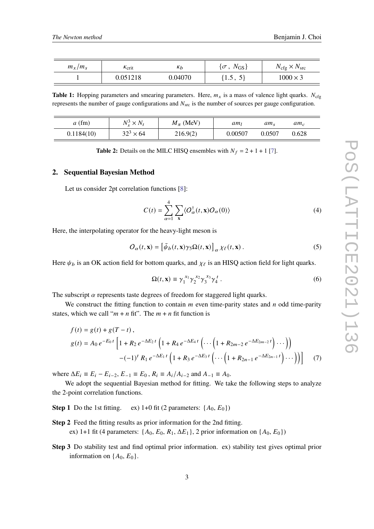<span id="page-2-0"></span>

| $m_x/m_s$ | $\kappa$ <sub>crit</sub> | $\kappa_b$ | $\{\sigma\,,\;N_{\rm GS}\}$ | $N_{\text{cfg}} \times N_{\text{src}}$ |  |
|-----------|--------------------------|------------|-----------------------------|----------------------------------------|--|
|           | 0.051218                 | 0.04070    | $\{1.5, 5\}$                | $1000 \times 3$                        |  |

**Table 1:** Hopping parameters and smearing parameters. Here,  $m<sub>x</sub>$  is a mass of valence light quarks.  $N<sub>cfo</sub>$ represents the number of gauge configurations and  $N<sub>src</sub>$  is the number of sources per gauge configuration.

<span id="page-2-1"></span>

| $a$ (fm)   | $N_s^3 \times N_t$ | $M_{\pi}$ (MeV) | am <sub>l</sub> | am,    | $am_c$ |
|------------|--------------------|-----------------|-----------------|--------|--------|
| 0.1184(10) | $32^3 \times 64$   | 216.9(2)        | 0.00507         | 0.0507 | 0.628  |

**Table 2:** Details on the MILC HISQ ensembles with  $N_f = 2 + 1 + 1$  [\[7\]](#page-9-1).

#### **2. Sequential Bayesian Method**

Let us consider 2pt correlation functions [\[8\]](#page-9-2):

$$
C(t) = \sum_{\alpha=1}^{4} \sum_{\mathbf{x}} \langle O_{\alpha}^{\dagger}(t, \mathbf{x}) O_{\alpha}(0) \rangle
$$
 (4)

Here, the interpolating operator for the heavy-light meson is

$$
O_{\alpha}(t, \mathbf{x}) = \left[\bar{\psi}_{b}(t, \mathbf{x})\gamma_{5}\Omega(t, \mathbf{x})\right]_{\alpha} \chi_{\ell}(t, \mathbf{x}). \tag{5}
$$

Here  $\psi_b$  is an OK action field for bottom quarks, and  $\chi_{\ell}$  is an HISQ action field for light quarks.

<span id="page-2-2"></span>
$$
\Omega(t, \mathbf{x}) \equiv \gamma_1^{x_1} \gamma_2^{x_2} \gamma_3^{x_3} \gamma_4^t \,. \tag{6}
$$

The subscript  $\alpha$  represents taste degrees of freedom for staggered light quarks.

We construct the fitting function to contain  $m$  even time-parity states and  $n$  odd time-parity states, which we call " $m + n$  fit". The  $m + n$  fit function is

$$
f(t) = g(t) + g(T - t),
$$
  
\n
$$
g(t) = A_0 e^{-E_0 t} \left[ 1 + R_2 e^{-\Delta E_2 t} \left( 1 + R_4 e^{-\Delta E_4 t} \left( \cdots \left( 1 + R_{2m-2} e^{-\Delta E_{2m-2} t} \right) \cdots \right) \right) - (-1)^t R_1 e^{-\Delta E_1 t} \left( 1 + R_3 e^{-\Delta E_3 t} \left( \cdots \left( 1 + R_{2n-1} e^{-\Delta E_{2n-1} t} \right) \cdots \right) \right) \right]
$$
 (7)

where  $\Delta E_i = E_i - E_{i-2}$ ,  $E_{-1} = E_0$ ,  $R_i = A_i / A_{i-2}$  and  $A_{-1} = A_0$ .

We adopt the sequential Bayesian method for fitting. We take the following steps to analyze the 2-point correlation functions.

**Step 1** Do the 1st fitting. ex) 1+0 fit (2 parameters:  $\{A_0, E_0\}$ )

- **Step 2** Feed the fitting results as prior information for the 2nd fitting. ex) 1+1 fit (4 parameters:  $\{A_0, E_0, R_1, \Delta E_1\}$ , 2 prior information on  $\{A_0, E_0\}$ )
- **Step 3** Do stability test and find optimal prior information. ex) stability test gives optimal prior information on  $\{A_0, E_0\}$ .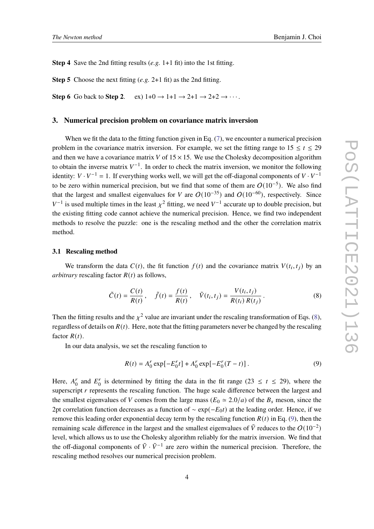**Step 4** Save the 2nd fitting results (*e.g.* 1+1 fit) into the 1st fitting.

**Step 5** Choose the next fitting (*e.g.* 2+1 fit) as the 2nd fitting.

**Step 6** Go back to **Step 2**. ex)  $1+0 \rightarrow 1+1 \rightarrow 2+1 \rightarrow 2+2 \rightarrow \cdots$ .

# **3. Numerical precision problem on covariance matrix inversion**

When we fit the data to the fitting function given in Eq. [\(7\)](#page-2-2), we encounter a numerical precision problem in the covariance matrix inversion. For example, we set the fitting range to  $15 \le t \le 29$ and then we have a covariance matrix V of  $15 \times 15$ . We use the Cholesky decomposition algorithm to obtain the inverse matrix  $V^{-1}$ . In order to check the matrix inversion, we monitor the following identity:  $V \cdot V^{-1} = 1$ . If everything works well, we will get the off-diagonal components of  $V \cdot V^{-1}$ to be zero within numerical precision, but we find that some of them are  $O(10^{-5})$ . We also find that the largest and smallest eigenvalues for V are  $O(10^{-35})$  and  $O(10^{-60})$ , respectively. Since  $V^{-1}$  is used multiple times in the least  $\chi^2$  fitting, we need  $V^{-1}$  accurate up to double precision, but the existing fitting code cannot achieve the numerical precision. Hence, we find two independent methods to resolve the puzzle: one is the rescaling method and the other the correlation matrix method.

### **3.1 Rescaling method**

We transform the data  $C(t)$ , the fit function  $f(t)$  and the covariance matrix  $V(t_i, t_j)$  by an *arbitrary* rescaling factor  $R(t)$  as follows,

$$
\tilde{C}(t) = \frac{C(t)}{R(t)}, \quad \tilde{f}(t) = \frac{f(t)}{R(t)}, \quad \tilde{V}(t_i, t_j) = \frac{V(t_i, t_j)}{R(t_i) R(t_j)}.
$$
\n(8)

Then the fitting results and the  $\chi^2$  value are invariant under the rescaling transformation of Eqs. [\(8\)](#page-3-0), regardless of details on  $R(t)$ . Here, note that the fitting parameters never be changed by the rescaling factor  $R(t)$ .

In our data analysis, we set the rescaling function to

<span id="page-3-1"></span><span id="page-3-0"></span>
$$
R(t) = A_0^r \exp[-E_0^r t] + A_0^r \exp[-E_0^r (T - t)].
$$
\n(9)

Here,  $A_0^r$  $E_0^r$  and  $E_0^r$  $\frac{d}{dt}$  is determined by fitting the data in the fit range (23  $\leq t \leq$  29), where the superscript  $r$  represents the rescaling function. The huge scale difference between the largest and the smallest eigenvalues of V comes from the large mass ( $E_0 \approx 2.0/a$ ) of the  $B_s$  meson, since the 2pt correlation function decreases as a function of  $\sim \exp(-E_0 t)$  at the leading order. Hence, if we remove this leading order exponential decay term by the rescaling function  $R(t)$  in Eq. [\(9\)](#page-3-1), then the remaining scale difference in the largest and the smallest eigenvalues of  $\tilde{V}$  reduces to the  $O(10^{-2})$ level, which allows us to use the Cholesky algorithm reliably for the matrix inversion. We find that the off-diagonal components of  $\tilde{V} \cdot \tilde{V}^{-1}$  are zero within the numerical precision. Therefore, the rescaling method resolves our numerical precision problem.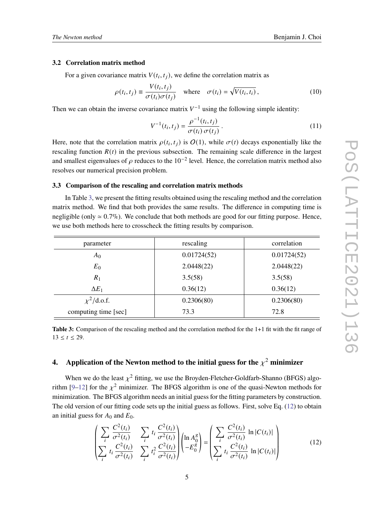#### **3.2 Correlation matrix method**

For a given covariance matrix  $V(t_i, t_j)$ , we define the correlation matrix as

$$
\rho(t_i, t_j) \equiv \frac{V(t_i, t_j)}{\sigma(t_i)\sigma(t_j)} \quad \text{where} \quad \sigma(t_i) = \sqrt{V(t_i, t_i)}, \tag{10}
$$

Then we can obtain the inverse covariance matrix  $V^{-1}$  using the following simple identity:

$$
V^{-1}(t_i, t_j) = \frac{\rho^{-1}(t_i, t_j)}{\sigma(t_i) \sigma(t_j)}.
$$
\n(11)

Here, note that the correlation matrix  $\rho(t_i, t_j)$  is  $O(1)$ , while  $\sigma(t)$  decays exponentially like the rescaling function  $R(t)$  in the previous subsection. The remaining scale difference in the largest and smallest eigenvalues of  $\rho$  reduces to the 10<sup>-2</sup> level. Hence, the correlation matrix method also resolves our numerical precision problem.

#### **3.3 Comparison of the rescaling and correlation matrix methods**

In Table [3,](#page-4-0) we present the fitting results obtained using the rescaling method and the correlation matrix method. We find that both provides the same results. The difference in computing time is negligible (only  $\simeq 0.7\%$ ). We conclude that both methods are good for our fitting purpose. Hence, we use both methods here to crosscheck the fitting results by comparison.

<span id="page-4-0"></span>

| parameter            | rescaling   | correlation |  |  |  |
|----------------------|-------------|-------------|--|--|--|
| $A_0$                | 0.01724(52) | 0.01724(52) |  |  |  |
| $E_0$                | 2.0448(22)  | 2.0448(22)  |  |  |  |
| $R_1$                | 3.5(58)     | 3.5(58)     |  |  |  |
| $\Delta E_1$         | 0.36(12)    | 0.36(12)    |  |  |  |
| $\chi^2$ /d.o.f.     | 0.2306(80)  | 0.2306(80)  |  |  |  |
| computing time [sec] | 73.3        | 72.8        |  |  |  |

**Table 3:** Comparison of the rescaling method and the correlation method for the 1+1 fit with the fit range of  $13 \le t \le 29$ .

# **4.** Application of the Newton method to the initial guess for the  $\chi^2$  minimizer

When we do the least  $\chi^2$  fitting, we use the Broyden-Fletcher-Goldfarb-Shanno (BFGS) algo-rithm [\[9](#page-9-3)[–12\]](#page-9-4) for the  $\chi^2$  minimizer. The BFGS algorithm is one of the quasi-Newton methods for minimization. The BFGS algorithm needs an initial guess for the fitting parameters by construction. The old version of our fitting code sets up the initial guess as follows. First, solve Eq. [\(12\)](#page-4-1) to obtain an initial guess for  $A_0$  and  $E_0$ .

<span id="page-4-1"></span>
$$
\left(\sum_{i} \frac{C^{2}(t_{i})}{\sigma^{2}(t_{i})} \sum_{i} t_{i} \frac{C^{2}(t_{i})}{\sigma^{2}(t_{i})}\right) \left(\ln A_{0}^{g}\right) = \left(\sum_{i} \frac{C^{2}(t_{i})}{\sigma^{2}(t_{i})} \ln |C(t_{i})|\right) \left(\sum_{i} t_{i} \frac{C^{2}(t_{i})}{\sigma^{2}(t_{i})} \ln |C(t_{i})|\right) \tag{12}
$$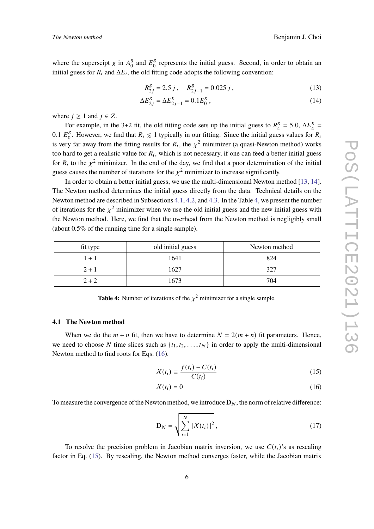where the superscipt g in  $A_0^g$  $\frac{g}{0}$  and  $E_0^g$  $\frac{8}{0}$  represents the initial guess. Second, in order to obtain an initial guess for  $R_i$  and  $\Delta E_i$ , the old fitting code adopts the following convention:

$$
R_{2j}^g = 2.5 j , \quad R_{2j-1}^g = 0.025 j , \tag{13}
$$

$$
\Delta E_{2j}^g = \Delta E_{2j-1}^g = 0.1 E_0^g \,, \tag{14}
$$

where  $j \geq 1$  and  $j \in Z$ .

For example, in the 3+2 fit, the old fitting code sets up the initial guess to  $R_A^g$  $\frac{1}{4}$  = 5.0,  $\Delta E_4^8$  $\frac{8}{4}$  =  $0.1 E_0^g$  $\frac{g}{0}$ . However, we find that  $R_i \leq 1$  typically in our fitting. Since the initial guess values for  $R_i$ is very far away from the fitting results for  $R_i$ , the  $\chi^2$  minimizer (a quasi-Newton method) works too hard to get a realistic value for  $R_i$ , which is not necessary, if one can feed a better initial guess for  $R_i$  to the  $\chi^2$  minimizer. In the end of the day, we find that a poor determination of the initial guess causes the number of iterations for the  $\chi^2$  minimizer to increase significantly.

In order to obtain a better initial guess, we use the multi-dimensional Newton method [\[13,](#page-9-5) [14\]](#page-9-6). The Newton method determines the initial guess directly from the data. Technical details on the Newton method are described in Subsections [4.1,](#page-5-0) [4.2,](#page-6-0) and [4.3.](#page-6-1) In the Table [4,](#page-5-1) we present the number of iterations for the  $\chi^2$  minimizer when we use the old initial guess and the new initial guess with the Newton method. Here, we find that the overhead from the Newton method is negligibly small (about 0.5% of the running time for a single sample).

<span id="page-5-1"></span>

| fit type | old initial guess | Newton method |
|----------|-------------------|---------------|
| $1 + 1$  | 1641              | 824           |
| $2 + 1$  | 1627              | 327           |
| $2 + 2$  | 1673              | 704           |

**Table 4:** Number of iterations of the  $\chi^2$  minimizer for a single sample.

#### <span id="page-5-0"></span>**4.1 The Newton method**

When we do the  $m + n$  fit, then we have to determine  $N = 2(m + n)$  fit parameters. Hence, we need to choose N time slices such as  $\{t_1, t_2, \ldots, t_N\}$  in order to apply the multi-dimensional Newton method to find roots for Eqs. [\(16\)](#page-5-2).

<span id="page-5-3"></span>
$$
\chi(t_i) \equiv \frac{f(t_i) - C(t_i)}{C(t_i)}\tag{15}
$$

<span id="page-5-2"></span>
$$
X(t_i) = 0 \tag{16}
$$

To measure the convergence of the Newton method, we introduce  $\mathbf{D}_N$ , the norm of relative difference:

$$
\mathbf{D}_N = \sqrt{\sum_{i=1}^N \left[ X(t_i) \right]^2},\tag{17}
$$

To resolve the precision problem in Jacobian matrix inversion, we use  $C(t_i)$ 's as rescaling factor in Eq. [\(15\)](#page-5-3). By rescaling, the Newton method converges faster, while the Jacobian matrix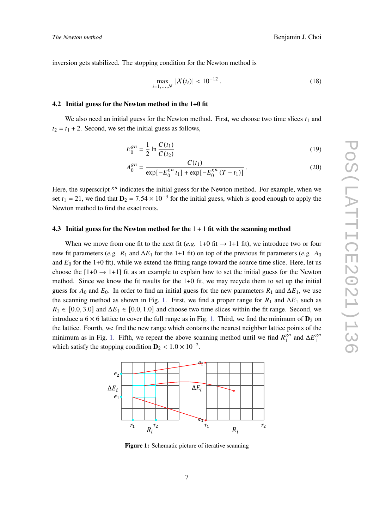inversion gets stabilized. The stopping condition for the Newton method is

$$
\max_{i=1,\dots,N} |\mathcal{X}(t_i)| < 10^{-12} \,. \tag{18}
$$

#### <span id="page-6-0"></span>**4.2 Initial guess for the Newton method in the 1+0 fit**

We also need an initial guess for the Newton method. First, we choose two time slices  $t_1$  and  $t_2 = t_1 + 2$ . Second, we set the initial guess as follows,

$$
E_0^{gn} = \frac{1}{2} \ln \frac{C(t_1)}{C(t_2)}\tag{19}
$$

$$
A_0^{gn} = \frac{C(t_1)}{\exp[-E_0^{gn} t_1] + \exp[-E_0^{gn} (T - t_1)]}.
$$
 (20)

Here, the superscript  $s^n$  indicates the initial guess for the Newton method. For example, when we set  $t_1 = 21$ , we find that  $\mathbf{D}_2 = 7.54 \times 10^{-3}$  for the initial guess, which is good enough to apply the Newton method to find the exact roots.

#### <span id="page-6-1"></span>**4.3 Initial guess for the Newton method for the** 1 + 1 **fit with the scanning method**

When we move from one fit to the next fit (*e.g.* 1+0 fit  $\rightarrow$  1+1 fit), we introduce two or four new fit parameters (*e.g.*  $R_1$  and  $\Delta E_1$  for the 1+1 fit) on top of the previous fit parameters (*e.g.*  $A_0$ and  $E_0$  for the 1+0 fit), while we extend the fitting range toward the source time slice. Here, let us choose the  $[1+0 \rightarrow 1+1]$  fit as an example to explain how to set the initial guess for the Newton method. Since we know the fit results for the 1+0 fit, we may recycle them to set up the initial guess for  $A_0$  and  $E_0$ . In order to find an initial guess for the new parameters  $R_1$  and  $\Delta E_1$ , we use the scanning method as shown in Fig. [1.](#page-6-2) First, we find a proper range for  $R_1$  and  $\Delta E_1$  such as  $R_1 \in [0.0, 3.0]$  and  $\Delta E_1 \in [0.0, 1.0]$  and choose two time slices within the fit range. Second, we introduce a  $6 \times 6$  lattice to cover the full range as in Fig. [1.](#page-6-2) Third, we find the minimum of  $D_2$  on the lattice. Fourth, we find the new range which contains the nearest neighbor lattice points of the minimum as in Fig. [1.](#page-6-2) Fifth, we repeat the above scanning method until we find  $R_1^{gn}$  $\int_1^{gn}$  and  $\Delta E_1^{gn}$ 1 which satisfy the stopping condition  $D_2 < 1.0 \times 10^{-2}$ .

<span id="page-6-2"></span>

**Figure 1:** Schematic picture of iterative scanning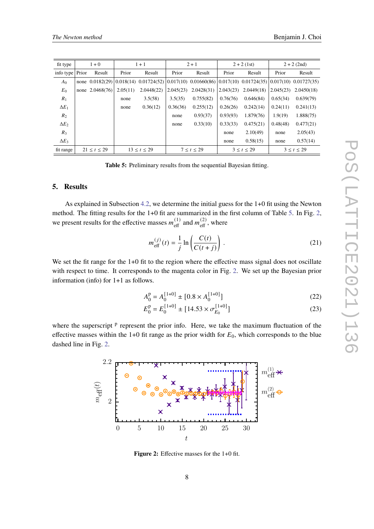<span id="page-7-0"></span>

| fit type       | $1 + 0$ |                 | $1 + 1$     |                                                                                                                           | $2 + 1$    |            | $2 + 2$ (1st)    |            | $2 + 2$ (2nd)    |            |
|----------------|---------|-----------------|-------------|---------------------------------------------------------------------------------------------------------------------------|------------|------------|------------------|------------|------------------|------------|
| info type      | Prior   | Result          | Prior       | Result                                                                                                                    | Prior      | Result     | Prior            | Result     | Prior            | Result     |
| A <sub>0</sub> |         |                 |             | none $0.0182(29)   0.018(14)   0.01724(52)   0.017(10)   0.01660(86)   0.017(10)   0.01724(35)   0.017(10)   0.01727(35)$ |            |            |                  |            |                  |            |
| $E_0$          |         | none 2.0468(76) | 2.05(11)    | 2.0448(22)                                                                                                                | 2.045(23)  | 2.0428(31) | 2.043(23)        | 2.0449(18) | 2.045(23)        | 2.0450(18) |
| $R_1$          |         |                 | none        | 3.5(58)                                                                                                                   | 3.5(35)    | 0.755(82)  | 0.76(76)         | 0.646(84)  | 0.65(34)         | 0.639(79)  |
| $\Delta E_1$   |         |                 | none        | 0.36(12)                                                                                                                  | 0.36(36)   | 0.255(12)  | 0.26(26)         | 0.242(14)  | 0.24(11)         | 0.241(13)  |
| R <sub>2</sub> |         |                 |             |                                                                                                                           | none       | 0.93(37)   | 0.93(93)         | 1.879(76)  | 1.9(19)          | 1.888(75)  |
| $\Delta E_2$   |         |                 |             |                                                                                                                           | none       | 0.33(10)   | 0.33(33)         | 0.475(21)  | 0.48(48)         | 0.477(21)  |
| $R_3$          |         |                 |             |                                                                                                                           |            |            | none             | 2.10(49)   | none             | 2.05(43)   |
| $\Delta E_3$   |         |                 |             |                                                                                                                           |            |            | none             | 0.58(15)   | none             | 0.57(14)   |
| fit range      |         | 21 < t < 29     | 13 < t < 29 |                                                                                                                           | 7 < t < 29 |            | $3 \le t \le 29$ |            | $3 \le t \le 29$ |            |

**Table 5:** Preliminary results from the sequential Bayesian fitting.

# **5. Results**

As explained in Subsection [4.2,](#page-6-0) we determine the initial guess for the 1+0 fit using the Newton method. The fitting results for the 1+0 fit are summarized in the first column of Table [5.](#page-7-0) In Fig. [2,](#page-7-1) we present results for the effective masses  $m_{\text{eff}}^{(1)}$  and  $m_{\text{eff}}^{(2)}$ , where

$$
m_{\text{eff}}^{(j)}(t) = \frac{1}{j} \ln \left( \frac{C(t)}{C(t+j)} \right). \tag{21}
$$

We set the fit range for the 1+0 fit to the region where the effective mass signal does not oscillate with respect to time. It corresponds to the magenta color in Fig. [2.](#page-7-1) We set up the Bayesian prior information (info) for 1+1 as follows.

$$
A_0^{\rm p} = A_0^{\{1+0\}} \pm [0.8 \times A_0^{\{1+0\}}] \tag{22}
$$

$$
E_0^{\rm p} = E_0^{\{1+0\}} \pm [14.53 \times \sigma_{E_0}^{\{1+0\}}] \tag{23}
$$

<span id="page-7-1"></span>where the superscript <sup>p</sup> represent the prior info. Here, we take the maximum fluctuation of the effective masses within the 1+0 fit range as the prior width for  $E_0$ , which corresponds to the blue dashed line in Fig. [2.](#page-7-1)



**Figure 2:** Effective masses for the 1+0 fit.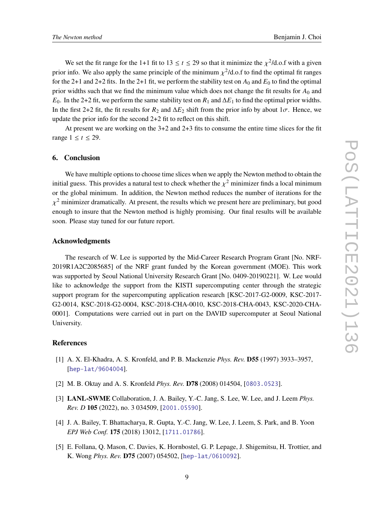We set the fit range for the 1+1 fit to 13  $\le t \le 29$  so that it minimize the  $\chi^2$ /d.o.f with a given prior info. We also apply the same principle of the minimum  $\chi^2/d$  o.f to find the optimal fit ranges for the 2+1 and 2+2 fits. In the 2+1 fit, we perform the stability test on  $A_0$  and  $E_0$  to find the optimal prior widths such that we find the minimum value which does not change the fit results for  $A_0$  and  $E_0$ . In the 2+2 fit, we perform the same stability test on  $R_1$  and  $\Delta E_1$  to find the optimal prior widths. In the first 2+2 fit, the fit results for  $R_2$  and  $\Delta E_2$  shift from the prior info by about  $1\sigma$ . Hence, we update the prior info for the second 2+2 fit to reflect on this shift.

At present we are working on the 3+2 and 2+3 fits to consume the entire time slices for the fit range  $1 \le t \le 29$ .

# **6. Conclusion**

We have multiple options to choose time slices when we apply the Newton method to obtain the initial guess. This provides a natural test to check whether the  $\chi^2$  minimizer finds a local minimum or the global minimum. In addition, the Newton method reduces the number of iterations for the  $\chi^2$  minimizer dramatically. At present, the results which we present here are preliminary, but good enough to insure that the Newton method is highly promising. Our final results will be available soon. Please stay tuned for our future report.

# **Acknowledgments**

The research of W. Lee is supported by the Mid-Career Research Program Grant [No. NRF-2019R1A2C2085685] of the NRF grant funded by the Korean government (MOE). This work was supported by Seoul National University Research Grant [No. 0409-20190221]. W. Lee would like to acknowledge the support from the KISTI supercomputing center through the strategic support program for the supercomputing application research [KSC-2017-G2-0009, KSC-2017- G2-0014, KSC-2018-G2-0004, KSC-2018-CHA-0010, KSC-2018-CHA-0043, KSC-2020-CHA-0001]. Computations were carried out in part on the DAVID supercomputer at Seoul National University.

# **References**

- <span id="page-8-0"></span>[1] A. X. El-Khadra, A. S. Kronfeld, and P. B. Mackenzie *Phys. Rev.* **D55** (1997) 3933–3957, [[hep-lat/9604004](http://xxx.lanl.gov/abs/hep-lat/9604004)].
- <span id="page-8-1"></span>[2] M. B. Oktay and A. S. Kronfeld *Phys. Rev.* **D78** (2008) 014504, [[0803.0523](http://xxx.lanl.gov/abs/0803.0523)].
- <span id="page-8-2"></span>[3] **LANL-SWME** Collaboration, J. A. Bailey, Y.-C. Jang, S. Lee, W. Lee, and J. Leem *Phys. Rev. D* **105** (2022), no. 3 034509, [[2001.05590](http://xxx.lanl.gov/abs/2001.05590)].
- <span id="page-8-3"></span>[4] J. A. Bailey, T. Bhattacharya, R. Gupta, Y.-C. Jang, W. Lee, J. Leem, S. Park, and B. Yoon *EPJ Web Conf.* **175** (2018) 13012, [[1711.01786](http://xxx.lanl.gov/abs/1711.01786)].
- <span id="page-8-4"></span>[5] E. Follana, Q. Mason, C. Davies, K. Hornbostel, G. P. Lepage, J. Shigemitsu, H. Trottier, and K. Wong *Phys. Rev.* **D75** (2007) 054502, [[hep-lat/0610092](http://xxx.lanl.gov/abs/hep-lat/0610092)].